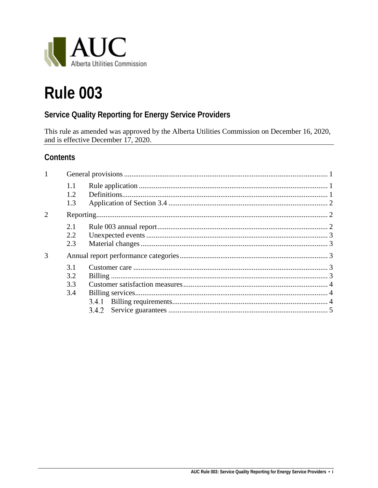

# **Rule 003**

# **Service Quality Reporting for Energy Service Providers**

This rule as amended was approved by the Alberta Utilities Commission on December 16, 2020, and is effective December 17, 2020.

## **Contents**

| 1                           |                   |  |
|-----------------------------|-------------------|--|
|                             | 1.1<br>1.2<br>1.3 |  |
| $\mathcal{D}_{\mathcal{L}}$ |                   |  |
|                             | 2.1               |  |
|                             | 2.2               |  |
|                             | 2.3               |  |
| 3                           |                   |  |
|                             | 3.1               |  |
|                             | 3.2               |  |
|                             | 3.3               |  |
|                             | 3.4               |  |
|                             |                   |  |
|                             |                   |  |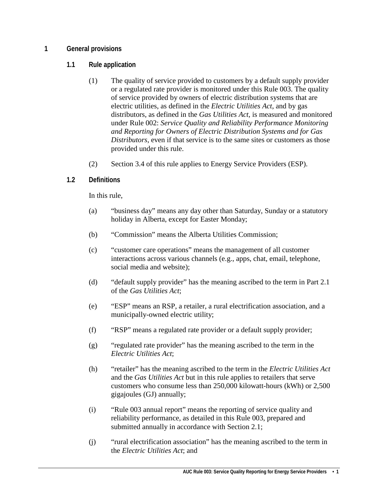#### <span id="page-2-1"></span><span id="page-2-0"></span>**1 General provisions**

#### **1.1 Rule application**

- (1) The quality of service provided to customers by a default supply provider or a regulated rate provider is monitored under this Rule 003. The quality of service provided by owners of electric distribution systems that are electric utilities, as defined in the *Electric Utilities Act*, and by gas distributors, as defined in the *Gas Utilities Act*, is measured and monitored under Rule 002: *Service Quality and Reliability Performance Monitoring and Reporting for Owners of Electric Distribution Systems and for Gas Distributors*, even if that service is to the same sites or customers as those provided under this rule.
- (2) Section 3.4 of this rule applies to Energy Service Providers (ESP).

#### <span id="page-2-2"></span>**1.2 Definitions**

In this rule,

- (a) "business day" means any day other than Saturday, Sunday or a statutory holiday in Alberta, except for Easter Monday;
- (b) "Commission" means the Alberta Utilities Commission;
- (c) "customer care operations" means the management of all customer interactions across various channels (e.g., apps, chat, email, telephone, social media and website);
- (d) "default supply provider" has the meaning ascribed to the term in Part 2.1 of the *Gas Utilities Act*;
- (e) "ESP" means an RSP, a retailer, a rural electrification association, and a municipally-owned electric utility;
- (f) "RSP" means a regulated rate provider or a default supply provider;
- (g) "regulated rate provider" has the meaning ascribed to the term in the *Electric Utilities Act*;
- (h) "retailer" has the meaning ascribed to the term in the *Electric Utilities Act*  and the *Gas Utilities Act* but in this rule applies to retailers that serve customers who consume less than 250,000 kilowatt-hours (kWh) or 2,500 gigajoules (GJ) annually;
- (i) "Rule 003 annual report" means the reporting of service quality and reliability performance, as detailed in this Rule 003, prepared and submitted annually in accordance with Section 2.1;
- (j) "rural electrification association" has the meaning ascribed to the term in the *Electric Utilities Act*; and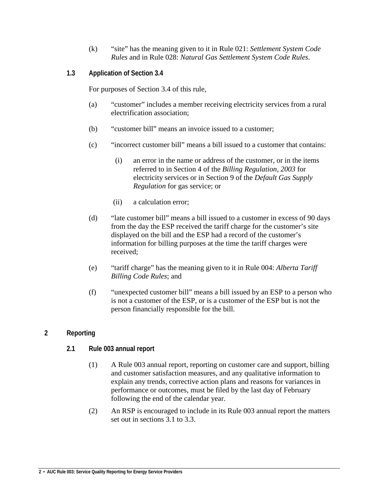- (k) "site" has the meaning given to it in Rule 021: *Settlement System Code Rules* and in Rule 028: *Natural Gas Settlement System Code Rules*.
- <span id="page-3-0"></span>**1.3 Application of Section 3.4**

For purposes of Section 3.4 of this rule,

- (a) "customer" includes a member receiving electricity services from a rural electrification association;
- (b) "customer bill" means an invoice issued to a customer;
- (c) "incorrect customer bill" means a bill issued to a customer that contains:
	- (i) an error in the name or address of the customer, or in the items referred to in Section 4 of the *Billing Regulation, 2003* for electricity services or in Section 9 of the *Default Gas Supply Regulation* for gas service; or
	- (ii) a calculation error;
- (d) "late customer bill" means a bill issued to a customer in excess of 90 days from the day the ESP received the tariff charge for the customer's site displayed on the bill and the ESP had a record of the customer's information for billing purposes at the time the tariff charges were received;
- (e) "tariff charge" has the meaning given to it in Rule 004: *Alberta Tariff Billing Code Rules*; and
- (f) "unexpected customer bill" means a bill issued by an ESP to a person who is not a customer of the ESP, or is a customer of the ESP but is not the person financially responsible for the bill.

#### <span id="page-3-2"></span><span id="page-3-1"></span>**2 Reporting**

#### **2.1 Rule 003 annual report**

- (1) A Rule 003 annual report, reporting on customer care and support, billing and customer satisfaction measures, and any qualitative information to explain any trends, corrective action plans and reasons for variances in performance or outcomes, must be filed by the last day of February following the end of the calendar year.
- (2) An RSP is encouraged to include in its Rule 003 annual report the matters set out in sections 3.1 to 3.3.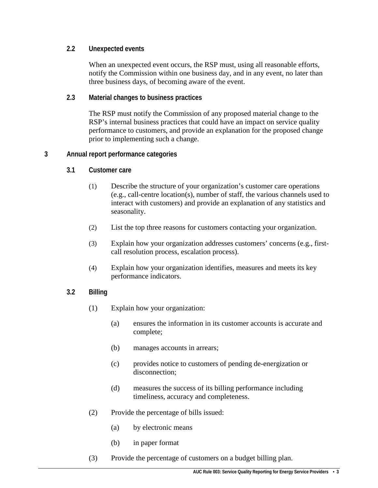#### <span id="page-4-0"></span>**2.2 Unexpected events**

When an unexpected event occurs, the RSP must, using all reasonable efforts, notify the Commission within one business day, and in any event, no later than three business days, of becoming aware of the event.

#### <span id="page-4-1"></span>**2.3 Material changes to business practices**

The RSP must notify the Commission of any proposed material change to the RSP's internal business practices that could have an impact on service quality performance to customers, and provide an explanation for the proposed change prior to implementing such a change.

#### <span id="page-4-3"></span><span id="page-4-2"></span>**3 Annual report performance categories**

#### **3.1 Customer care**

- (1) Describe the structure of your organization's customer care operations (e.g., call-centre location(s), number of staff, the various channels used to interact with customers) and provide an explanation of any statistics and seasonality.
- (2) List the top three reasons for customers contacting your organization.
- (3) Explain how your organization addresses customers' concerns (e.g., firstcall resolution process, escalation process).
- (4) Explain how your organization identifies, measures and meets its key performance indicators.

### <span id="page-4-4"></span>**3.2 Billing**

- (1) Explain how your organization:
	- (a) ensures the information in its customer accounts is accurate and complete;
	- (b) manages accounts in arrears;
	- (c) provides notice to customers of pending de-energization or disconnection;
	- (d) measures the success of its billing performance including timeliness, accuracy and completeness.
- (2) Provide the percentage of bills issued:
	- (a) by electronic means
	- (b) in paper format
- (3) Provide the percentage of customers on a budget billing plan.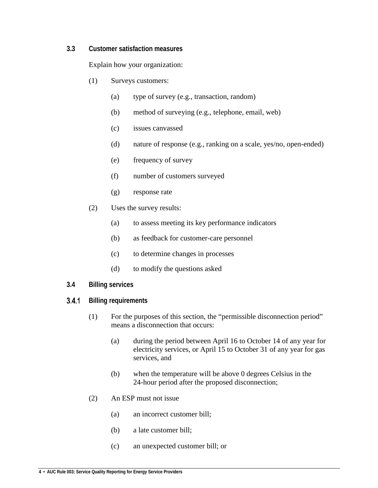#### <span id="page-5-0"></span>**3.3 Customer satisfaction measures**

Explain how your organization:

- (1) Surveys customers:
	- (a) type of survey (e.g., transaction, random)
	- (b) method of surveying (e.g., telephone, email, web)
	- (c) issues canvassed
	- (d) nature of response (e.g., ranking on a scale, yes/no, open-ended)
	- (e) frequency of survey
	- (f) number of customers surveyed
	- (g) response rate
- (2) Uses the survey results:
	- (a) to assess meeting its key performance indicators
	- (b) as feedback for customer-care personnel
	- (c) to determine changes in processes
	- (d) to modify the questions asked
- <span id="page-5-1"></span>**3.4 Billing services**
- <span id="page-5-2"></span>**Billing requirements**  $3.4.1$ 
	- (1) For the purposes of this section, the "permissible disconnection period" means a disconnection that occurs:
		- (a) during the period between April 16 to October 14 of any year for electricity services, or April 15 to October 31 of any year for gas services, and
		- (b) when the temperature will be above 0 degrees Celsius in the 24-hour period after the proposed disconnection;
	- (2) An ESP must not issue
		- (a) an incorrect customer bill;
		- (b) a late customer bill;
		- (c) an unexpected customer bill; or